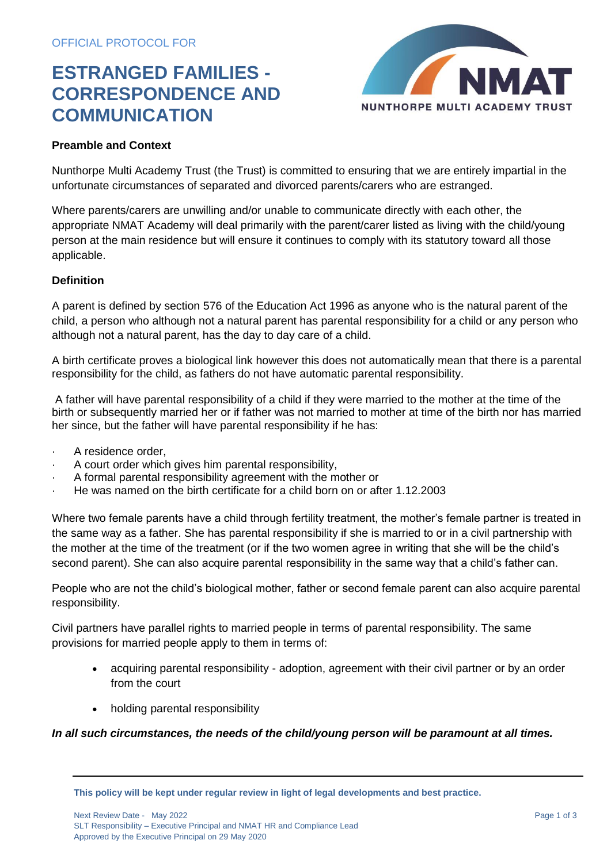## **ESTRANGED FAMILIES - CORRESPONDENCE AND COMMUNICATION**



## **Preamble and Context**

Nunthorpe Multi Academy Trust (the Trust) is committed to ensuring that we are entirely impartial in the unfortunate circumstances of separated and divorced parents/carers who are estranged.

Where parents/carers are unwilling and/or unable to communicate directly with each other, the appropriate NMAT Academy will deal primarily with the parent/carer listed as living with the child/young person at the main residence but will ensure it continues to comply with its statutory toward all those applicable.

#### **Definition**

A parent is defined by section 576 of the Education Act 1996 as anyone who is the natural parent of the child, a person who although not a natural parent has parental responsibility for a child or any person who although not a natural parent, has the day to day care of a child.

A birth certificate proves a biological link however this does not automatically mean that there is a parental responsibility for the child, as fathers do not have automatic parental responsibility.

A father will have parental responsibility of a child if they were married to the mother at the time of the birth or subsequently married her or if father was not married to mother at time of the birth nor has married her since, but the father will have parental responsibility if he has:

- A residence order,
- · A court order which gives him parental responsibility,
- · A formal parental responsibility agreement with the mother or
- · He was named on the birth certificate for a child born on or after 1.12.2003

Where two female parents have a child through fertility treatment, the mother's female partner is treated in the same way as a father. She has parental responsibility if she is married to or in a civil partnership with the mother at the time of the treatment (or if the two women agree in writing that she will be the child's second parent). She can also acquire parental responsibility in the same way that a child's father can.

People who are not the child's biological mother, father or second female parent can also acquire parental responsibility.

Civil partners have parallel rights to married people in terms of parental responsibility. The same provisions for married people apply to them in terms of:

- acquiring parental responsibility adoption, agreement with their civil partner or by an order from the court
- holding parental responsibility

## *In all such circumstances, the needs of the child/young person will be paramount at all times.*

**This policy will be kept under regular review in light of legal developments and best practice.**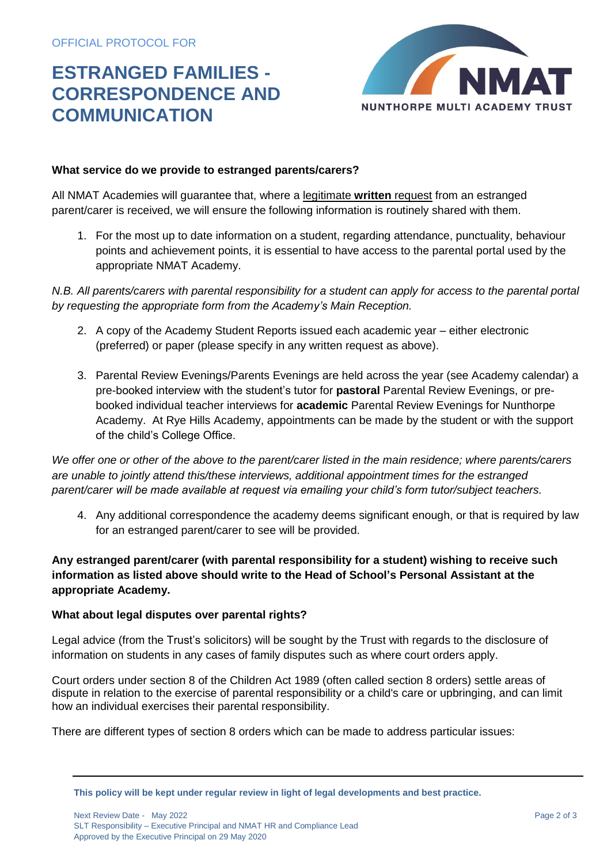# **ESTRANGED FAMILIES - CORRESPONDENCE AND COMMUNICATION**



## **What service do we provide to estranged parents/carers?**

All NMAT Academies will guarantee that, where a legitimate **written** request from an estranged parent/carer is received, we will ensure the following information is routinely shared with them.

1. For the most up to date information on a student, regarding attendance, punctuality, behaviour points and achievement points, it is essential to have access to the parental portal used by the appropriate NMAT Academy.

*N.B. All parents/carers with parental responsibility for a student can apply for access to the parental portal by requesting the appropriate form from the Academy's Main Reception.*

- 2. A copy of the Academy Student Reports issued each academic year either electronic (preferred) or paper (please specify in any written request as above).
- 3. Parental Review Evenings/Parents Evenings are held across the year (see Academy calendar) a pre-booked interview with the student's tutor for **pastoral** Parental Review Evenings, or prebooked individual teacher interviews for **academic** Parental Review Evenings for Nunthorpe Academy. At Rye Hills Academy, appointments can be made by the student or with the support of the child's College Office.

*We offer one or other of the above to the parent/carer listed in the main residence; where parents/carers are unable to jointly attend this/these interviews, additional appointment times for the estranged parent/carer will be made available at request via emailing your child's form tutor/subject teachers.*

4. Any additional correspondence the academy deems significant enough, or that is required by law for an estranged parent/carer to see will be provided.

## **Any estranged parent/carer (with parental responsibility for a student) wishing to receive such information as listed above should write to the Head of School's Personal Assistant at the appropriate Academy.**

## **What about legal disputes over parental rights?**

Legal advice (from the Trust's solicitors) will be sought by the Trust with regards to the disclosure of information on students in any cases of family disputes such as where court orders apply.

Court orders under section 8 of the Children Act 1989 (often called section 8 orders) settle areas of dispute in relation to the exercise of parental responsibility or a child's care or upbringing, and can limit how an individual exercises their parental responsibility.

There are different types of section 8 orders which can be made to address particular issues:

**This policy will be kept under regular review in light of legal developments and best practice.**